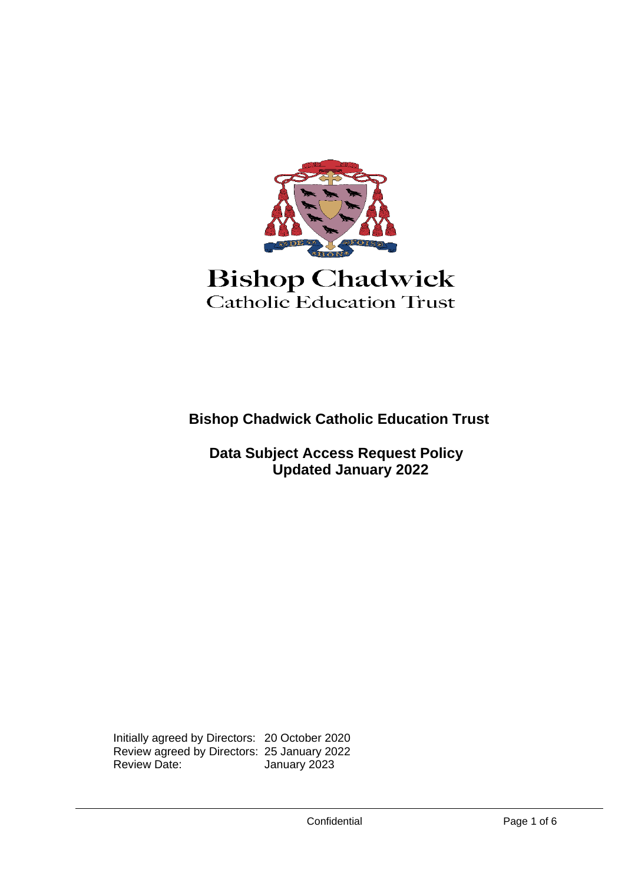

# **Bishop Chadwick** Catholic Education Trust

**Bishop Chadwick Catholic Education Trust**

 **Data Subject Access Request Policy Updated January 2022**

Initially agreed by Directors: 20 October 2020 Review agreed by Directors: 25 January 2022 January 2023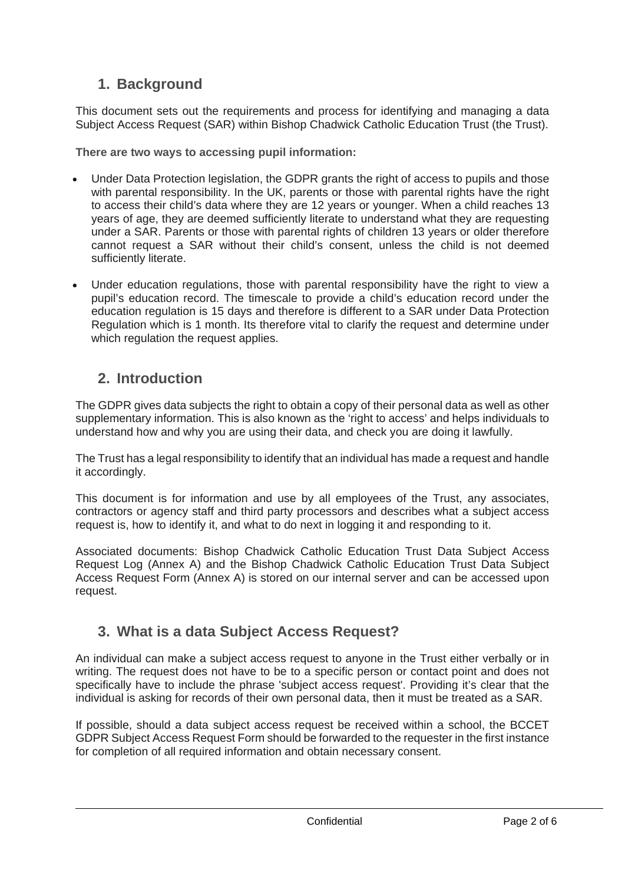### **1. Background**

This document sets out the requirements and process for identifying and managing a data Subject Access Request (SAR) within Bishop Chadwick Catholic Education Trust (the Trust).

**There are two ways to accessing pupil information:**

- Under Data Protection legislation, the GDPR grants the right of access to pupils and those with parental responsibility. In the UK, parents or those with parental rights have the right to access their child's data where they are 12 years or younger. When a child reaches 13 years of age, they are deemed sufficiently literate to understand what they are requesting under a SAR. Parents or those with parental rights of children 13 years or older therefore cannot request a SAR without their child's consent, unless the child is not deemed sufficiently literate.
- Under education regulations, those with parental responsibility have the right to view a pupil's education record. The timescale to provide a child's education record under the education regulation is 15 days and therefore is different to a SAR under Data Protection Regulation which is 1 month. Its therefore vital to clarify the request and determine under which regulation the request applies.

### **2. Introduction**

The GDPR gives data subjects the right to obtain a copy of their personal data as well as other supplementary information. This is also known as the 'right to access' and helps individuals to understand how and why you are using their data, and check you are doing it lawfully.

The Trust has a legal responsibility to identify that an individual has made a request and handle it accordingly.

This document is for information and use by all employees of the Trust, any associates, contractors or agency staff and third party processors and describes what a subject access request is, how to identify it, and what to do next in logging it and responding to it.

Associated documents: Bishop Chadwick Catholic Education Trust Data Subject Access Request Log (Annex A) and the Bishop Chadwick Catholic Education Trust Data Subject Access Request Form (Annex A) is stored on our internal server and can be accessed upon request.

### **3. What is a data Subject Access Request?**

An individual can make a subject access request to anyone in the Trust either verbally or in writing. The request does not have to be to a specific person or contact point and does not specifically have to include the phrase 'subject access request'. Providing it's clear that the individual is asking for records of their own personal data, then it must be treated as a SAR.

If possible, should a data subject access request be received within a school, the BCCET GDPR Subject Access Request Form should be forwarded to the requester in the first instance for completion of all required information and obtain necessary consent.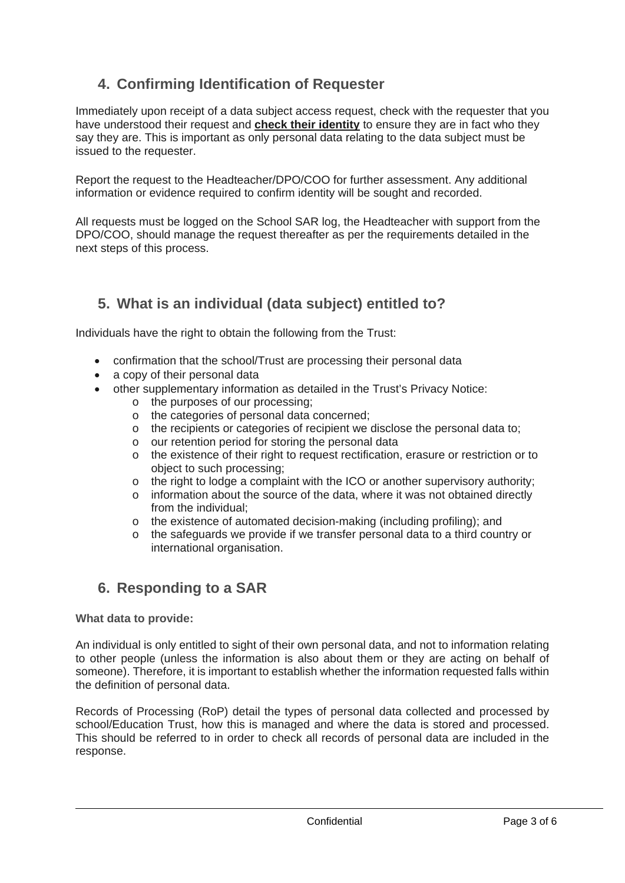# **4. Confirming Identification of Requester**

Immediately upon receipt of a data subject access request, check with the requester that you have understood their request and **check their identity** to ensure they are in fact who they say they are. This is important as only personal data relating to the data subject must be issued to the requester.

Report the request to the Headteacher/DPO/COO for further assessment. Any additional information or evidence required to confirm identity will be sought and recorded.

All requests must be logged on the School SAR log, the Headteacher with support from the DPO/COO, should manage the request thereafter as per the requirements detailed in the next steps of this process.

## **5. What is an individual (data subject) entitled to?**

Individuals have the right to obtain the following from the Trust:

- confirmation that the school/Trust are processing their personal data
- a copy of their personal data
- other supplementary information as detailed in the Trust's Privacy Notice:
	- o the purposes of our processing;
	- o the categories of personal data concerned;
	- o the recipients or categories of recipient we disclose the personal data to;
	- o our retention period for storing the personal data
	- o the existence of their right to request rectification, erasure or restriction or to object to such processing;
	- $\circ$  the right to lodge a complaint with the ICO or another supervisory authority;<br> $\circ$  information about the source of the data, where it was not obtained directly
	- information about the source of the data, where it was not obtained directly from the individual;
	- o the existence of automated decision-making (including profiling); and
	- o the safeguards we provide if we transfer personal data to a third country or international organisation.

### **6. Responding to a SAR**

#### **What data to provide:**

An individual is only entitled to sight of their own personal data, and not to information relating to other people (unless the information is also about them or they are acting on behalf of someone). Therefore, it is important to establish whether the information requested falls within the definition of personal data.

Records of Processing (RoP) detail the types of personal data collected and processed by school/Education Trust, how this is managed and where the data is stored and processed. This should be referred to in order to check all records of personal data are included in the response.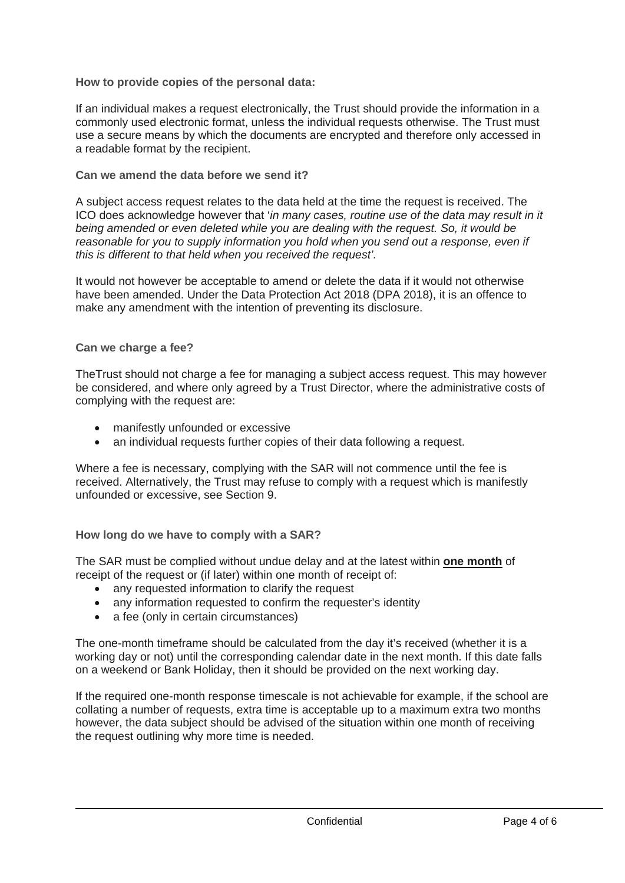#### **How to provide copies of the personal data:**

If an individual makes a request electronically, the Trust should provide the information in a commonly used electronic format, unless the individual requests otherwise. The Trust must use a secure means by which the documents are encrypted and therefore only accessed in a readable format by the recipient.

#### **Can we amend the data before we send it?**

A subject access request relates to the data held at the time the request is received. The ICO does acknowledge however that '*in many cases, routine use of the data may result in it being amended or even deleted while you are dealing with the request. So, it would be reasonable for you to supply information you hold when you send out a response, even if this is different to that held when you received the request'.*

It would not however be acceptable to amend or delete the data if it would not otherwise have been amended. Under the Data Protection Act 2018 (DPA 2018), it is an offence to make any amendment with the intention of preventing its disclosure.

#### **Can we charge a fee?**

TheTrust should not charge a fee for managing a subject access request. This may however be considered, and where only agreed by a Trust Director, where the administrative costs of complying with the request are:

- manifestly unfounded or excessive
- an individual requests further copies of their data following a request.

Where a fee is necessary, complying with the SAR will not commence until the fee is received. Alternatively, the Trust may refuse to comply with a request which is manifestly unfounded or excessive, see Section 9.

#### **How long do we have to comply with a SAR?**

The SAR must be complied without undue delay and at the latest within **one month** of receipt of the request or (if later) within one month of receipt of:

- any requested information to clarify the request
- any information requested to confirm the requester's identity
- a fee (only in certain circumstances)

The one-month timeframe should be calculated from the day it's received (whether it is a working day or not) until the corresponding calendar date in the next month. If this date falls on a weekend or Bank Holiday, then it should be provided on the next working day.

If the required one-month response timescale is not achievable for example, if the school are collating a number of requests, extra time is acceptable up to a maximum extra two months however, the data subject should be advised of the situation within one month of receiving the request outlining why more time is needed.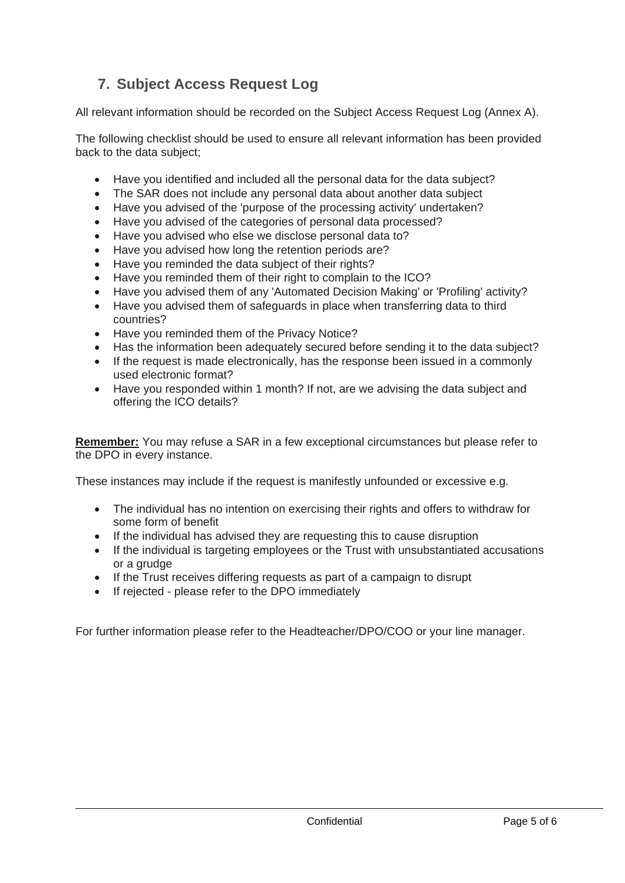# **7. Subject Access Request Log**

All relevant information should be recorded on the Subject Access Request Log (Annex A).

The following checklist should be used to ensure all relevant information has been provided back to the data subject;

- Have you identified and included all the personal data for the data subject?
- The SAR does not include any personal data about another data subject
- Have you advised of the 'purpose of the processing activity' undertaken?
- Have you advised of the categories of personal data processed?
- Have you advised who else we disclose personal data to?
- Have you advised how long the retention periods are?
- Have you reminded the data subject of their rights?
- Have you reminded them of their right to complain to the ICO?
- Have you advised them of any 'Automated Decision Making' or 'Profiling' activity?
- Have you advised them of safeguards in place when transferring data to third countries?
- Have you reminded them of the Privacy Notice?
- Has the information been adequately secured before sending it to the data subject?
- If the request is made electronically, has the response been issued in a commonly used electronic format?
- Have you responded within 1 month? If not, are we advising the data subject and offering the ICO details?

**Remember:** You may refuse a SAR in a few exceptional circumstances but please refer to the DPO in every instance.

These instances may include if the request is manifestly unfounded or excessive e.g.

- The individual has no intention on exercising their rights and offers to withdraw for some form of benefit
- If the individual has advised they are requesting this to cause disruption
- If the individual is targeting employees or the Trust with unsubstantiated accusations or a grudge
- If the Trust receives differing requests as part of a campaign to disrupt
- If rejected please refer to the DPO immediately

For further information please refer to the Headteacher/DPO/COO or your line manager.